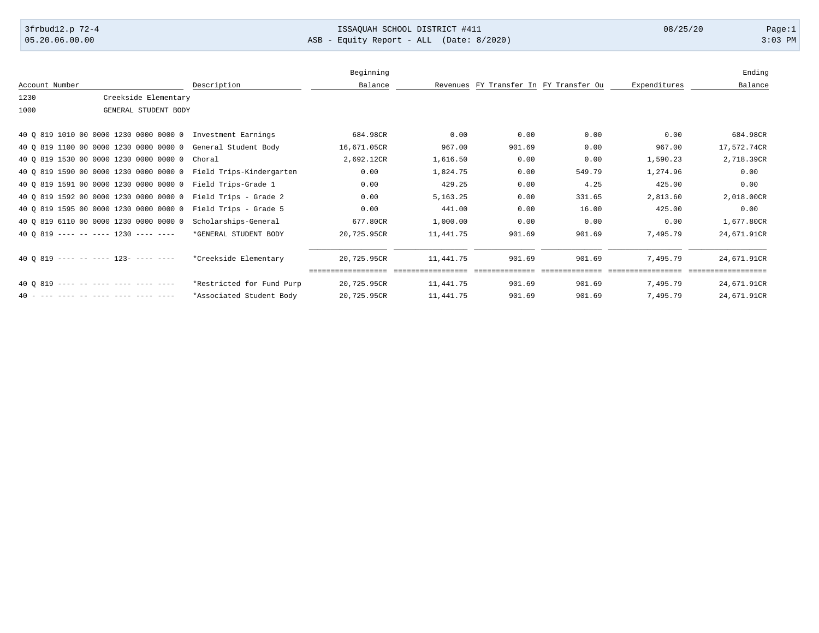## 3frbud12.p 72-4 Page:1

05.20.06.00.00 ASB - Equity Report - ALL (Date: 8/2020) 3:03 PM

|                                                             |                           | Beginning   |            |        |                                        |              | Ending                          |
|-------------------------------------------------------------|---------------------------|-------------|------------|--------|----------------------------------------|--------------|---------------------------------|
| Account Number                                              | Description               | Balance     |            |        | Revenues FY Transfer In FY Transfer Ou | Expenditures | Balance                         |
| Creekside Elementary<br>1230                                |                           |             |            |        |                                        |              |                                 |
| 1000<br>GENERAL STUDENT BODY                                |                           |             |            |        |                                        |              |                                 |
|                                                             |                           |             |            |        |                                        |              |                                 |
| 40 Q 819 1010 00 0000 1230 0000 0000 0 Investment Earnings  |                           | 684.98CR    | 0.00       | 0.00   | 0.00                                   | 0.00         | 684.98CR                        |
| 40 Q 819 1100 00 0000 1230 0000 0000 0 General Student Body |                           | 16,671.05CR | 967.00     | 901.69 | 0.00                                   | 967.00       | 17,572.74CR                     |
| 40 0 819 1530 00 0000 1230 0000 0000 0 Choral               |                           | 2,692.12CR  | 1,616.50   | 0.00   | 0.00                                   | 1,590.23     | 2,718.39CR                      |
| 40 Q 819 1590 00 0000 1230 0000 0000 0                      | Field Trips-Kindergarten  | 0.00        | 1,824.75   | 0.00   | 549.79                                 | 1,274.96     | 0.00                            |
| 40 Q 819 1591 00 0000 1230 0000 0000 0                      | Field Trips-Grade 1       | 0.00        | 429.25     | 0.00   | 4.25                                   | 425.00       | 0.00                            |
| 40 Q 819 1592 00 0000 1230 0000 0000 0                      | Field Trips - Grade 2     | 0.00        | 5, 163. 25 | 0.00   | 331.65                                 | 2,813.60     | 2,018.00CR                      |
| 40 Q 819 1595 00 0000 1230 0000 0000 0                      | Field Trips - Grade 5     | 0.00        | 441.00     | 0.00   | 16.00                                  | 425.00       | 0.00                            |
| 40 Q 819 6110 00 0000 1230 0000 0000 0                      | Scholarships-General      | 677.80CR    | 1,000.00   | 0.00   | 0.00                                   | 0.00         | 1,677.80CR                      |
| 40 0 819 ---- -- ---- 1230 ---- ----                        | *GENERAL STUDENT BODY     | 20,725.95CR | 11,441.75  | 901.69 | 901.69                                 | 7,495.79     | 24,671.91CR                     |
| 40 0 819 ---- -- ---- 123- ---- ----                        | *Creekside Elementary     | 20,725.95CR | 11,441.75  | 901.69 | 901.69                                 | 7,495.79     | 24,671.91CR<br>================ |
| $40.0.819$ ---- -- ---- ---- ---- ----                      | *Restricted for Fund Purp | 20,725.95CR | 11,441.75  | 901.69 | 901.69                                 | 7,495.79     | 24,671.91CR                     |
| 40 - --- ---- -- ---- ---- ---- ----                        | *Associated Student Body  | 20,725.95CR | 11,441.75  | 901.69 | 901.69                                 | 7,495.79     | 24,671.91CR                     |